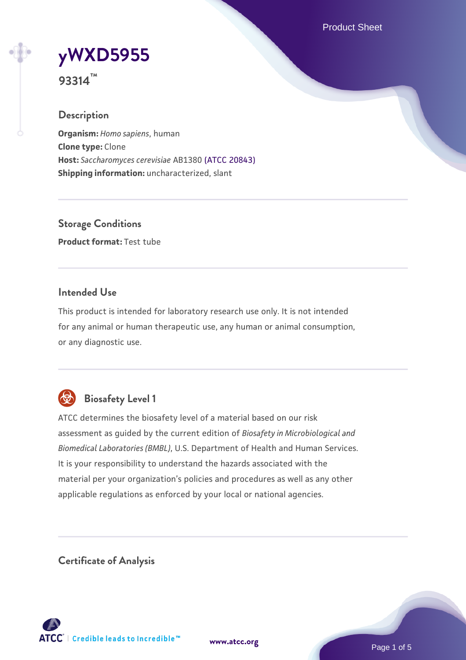Product Sheet



**93314™**

# **Description**

**Organism:** *Homo sapiens*, human **Clone type:** Clone **Host:** *Saccharomyces cerevisiae* AB1380 [\(ATCC 20843\)](https://www.atcc.org/products/20843) **Shipping information:** uncharacterized, slant

**Storage Conditions Product format:** Test tube

### **Intended Use**

This product is intended for laboratory research use only. It is not intended for any animal or human therapeutic use, any human or animal consumption, or any diagnostic use.



# **Biosafety Level 1**

ATCC determines the biosafety level of a material based on our risk assessment as guided by the current edition of *Biosafety in Microbiological and Biomedical Laboratories (BMBL)*, U.S. Department of Health and Human Services. It is your responsibility to understand the hazards associated with the material per your organization's policies and procedures as well as any other applicable regulations as enforced by your local or national agencies.

**Certificate of Analysis**

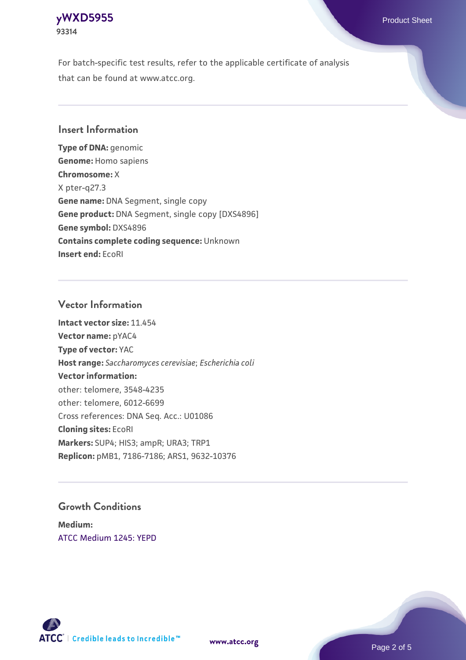# **[yWXD5955](https://www.atcc.org/products/93314)** Product Sheet **93314**

For batch-specific test results, refer to the applicable certificate of analysis that can be found at www.atcc.org.

# **Insert Information**

**Type of DNA:** genomic **Genome:** Homo sapiens **Chromosome:** X X pter-q27.3 **Gene name:** DNA Segment, single copy **Gene product:** DNA Segment, single copy [DXS4896] **Gene symbol:** DXS4896 **Contains complete coding sequence:** Unknown **Insert end:** EcoRI

### **Vector Information**

**Intact vector size:** 11.454 **Vector name:** pYAC4 **Type of vector:** YAC **Host range:** *Saccharomyces cerevisiae*; *Escherichia coli* **Vector information:** other: telomere, 3548-4235 other: telomere, 6012-6699 Cross references: DNA Seq. Acc.: U01086 **Cloning sites:** EcoRI **Markers:** SUP4; HIS3; ampR; URA3; TRP1 **Replicon:** pMB1, 7186-7186; ARS1, 9632-10376

### **Growth Conditions**

**Medium:**  [ATCC Medium 1245: YEPD](https://www.atcc.org/-/media/product-assets/documents/microbial-media-formulations/1/2/4/5/atcc-medium-1245.pdf?rev=705ca55d1b6f490a808a965d5c072196)



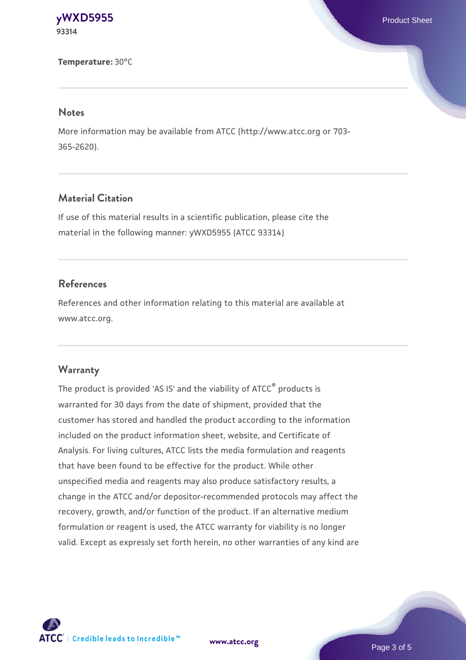**[yWXD5955](https://www.atcc.org/products/93314)** Product Sheet **93314**

**Temperature:** 30°C

#### **Notes**

More information may be available from ATCC (http://www.atcc.org or 703- 365-2620).

# **Material Citation**

If use of this material results in a scientific publication, please cite the material in the following manner: yWXD5955 (ATCC 93314)

#### **References**

References and other information relating to this material are available at www.atcc.org.

#### **Warranty**

The product is provided 'AS IS' and the viability of ATCC® products is warranted for 30 days from the date of shipment, provided that the customer has stored and handled the product according to the information included on the product information sheet, website, and Certificate of Analysis. For living cultures, ATCC lists the media formulation and reagents that have been found to be effective for the product. While other unspecified media and reagents may also produce satisfactory results, a change in the ATCC and/or depositor-recommended protocols may affect the recovery, growth, and/or function of the product. If an alternative medium formulation or reagent is used, the ATCC warranty for viability is no longer valid. Except as expressly set forth herein, no other warranties of any kind are



**[www.atcc.org](http://www.atcc.org)**

Page 3 of 5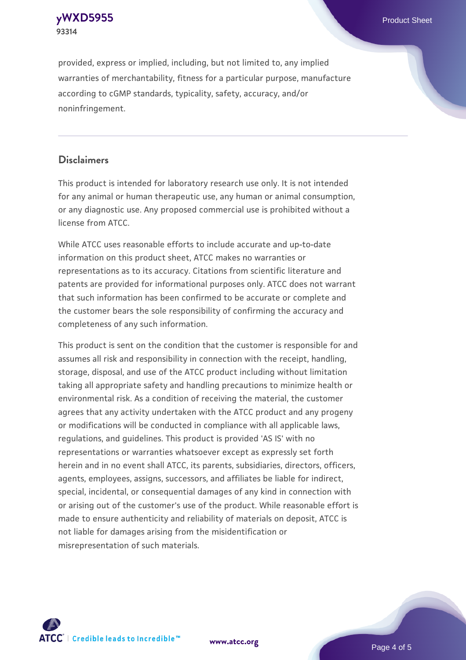**[yWXD5955](https://www.atcc.org/products/93314)** Product Sheet **93314**

provided, express or implied, including, but not limited to, any implied warranties of merchantability, fitness for a particular purpose, manufacture according to cGMP standards, typicality, safety, accuracy, and/or noninfringement.

#### **Disclaimers**

This product is intended for laboratory research use only. It is not intended for any animal or human therapeutic use, any human or animal consumption, or any diagnostic use. Any proposed commercial use is prohibited without a license from ATCC.

While ATCC uses reasonable efforts to include accurate and up-to-date information on this product sheet, ATCC makes no warranties or representations as to its accuracy. Citations from scientific literature and patents are provided for informational purposes only. ATCC does not warrant that such information has been confirmed to be accurate or complete and the customer bears the sole responsibility of confirming the accuracy and completeness of any such information.

This product is sent on the condition that the customer is responsible for and assumes all risk and responsibility in connection with the receipt, handling, storage, disposal, and use of the ATCC product including without limitation taking all appropriate safety and handling precautions to minimize health or environmental risk. As a condition of receiving the material, the customer agrees that any activity undertaken with the ATCC product and any progeny or modifications will be conducted in compliance with all applicable laws, regulations, and guidelines. This product is provided 'AS IS' with no representations or warranties whatsoever except as expressly set forth herein and in no event shall ATCC, its parents, subsidiaries, directors, officers, agents, employees, assigns, successors, and affiliates be liable for indirect, special, incidental, or consequential damages of any kind in connection with or arising out of the customer's use of the product. While reasonable effort is made to ensure authenticity and reliability of materials on deposit, ATCC is not liable for damages arising from the misidentification or misrepresentation of such materials.



**[www.atcc.org](http://www.atcc.org)**

Page 4 of 5